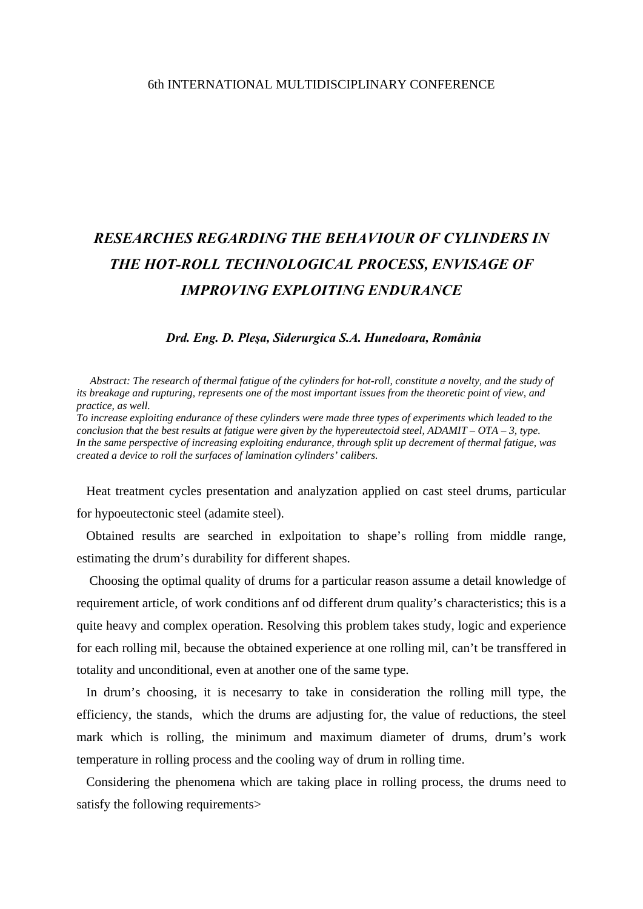## 6th INTERNATIONAL MULTIDISCIPLINARY CONFERENCE

## *RESEARCHES REGARDING THE BEHAVIOUR OF CYLINDERS IN THE HOT-ROLL TECHNOLOGICAL PROCESS, ENVISAGE OF IMPROVING EXPLOITING ENDURANCE*

## *Drd. Eng. D. Pleşa, Siderurgica S.A. Hunedoara, România*

 *Abstract: The research of thermal fatigue of the cylinders for hot-roll, constitute a novelty, and the study of its breakage and rupturing, represents one of the most important issues from the theoretic point of view, and practice, as well.* 

*To increase exploiting endurance of these cylinders were made three types of experiments which leaded to the conclusion that the best results at fatigue were given by the hypereutectoid steel,*  $ADAMIT - OTA - 3$ *, type. In the same perspective of increasing exploiting endurance, through split up decrement of thermal fatigue, was created a device to roll the surfaces of lamination cylinders' calibers.* 

 Heat treatment cycles presentation and analyzation applied on cast steel drums, particular for hypoeutectonic steel (adamite steel).

 Obtained results are searched in exlpoitation to shape's rolling from middle range, estimating the drum's durability for different shapes.

 Choosing the optimal quality of drums for a particular reason assume a detail knowledge of requirement article, of work conditions anf od different drum quality's characteristics; this is a quite heavy and complex operation. Resolving this problem takes study, logic and experience for each rolling mil, because the obtained experience at one rolling mil, can't be transffered in totality and unconditional, even at another one of the same type.

 In drum's choosing, it is necesarry to take in consideration the rolling mill type, the efficiency, the stands, which the drums are adjusting for, the value of reductions, the steel mark which is rolling, the minimum and maximum diameter of drums, drum's work temperature in rolling process and the cooling way of drum in rolling time.

 Considering the phenomena which are taking place in rolling process, the drums need to satisfy the following requirements>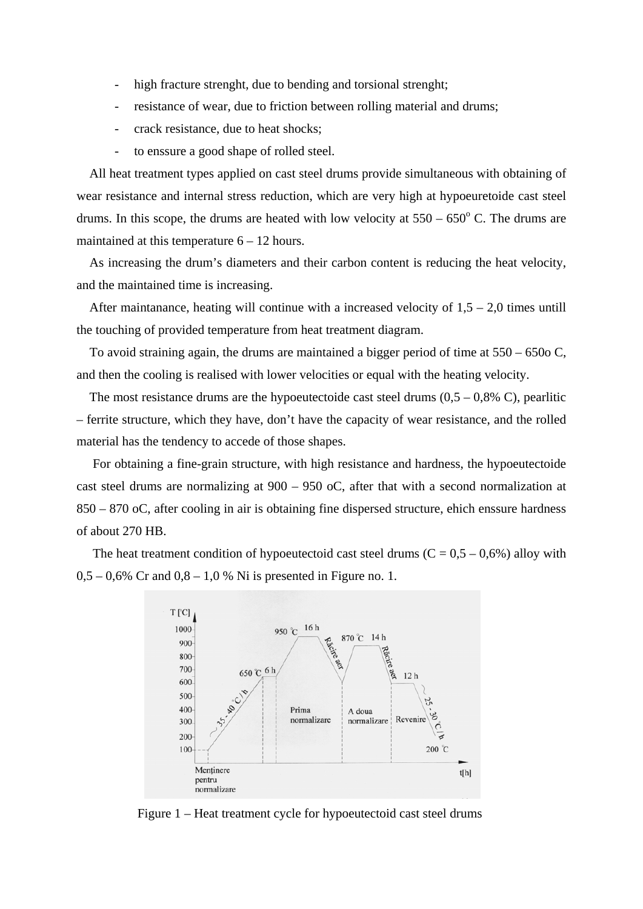- high fracture strenght, due to bending and torsional strenght;
- resistance of wear, due to friction between rolling material and drums;
- crack resistance, due to heat shocks;
- to enssure a good shape of rolled steel.

 All heat treatment types applied on cast steel drums provide simultaneous with obtaining of wear resistance and internal stress reduction, which are very high at hypoeuretoide cast steel drums. In this scope, the drums are heated with low velocity at  $550 - 650^{\circ}$  C. The drums are maintained at this temperature 6 – 12 hours.

 As increasing the drum's diameters and their carbon content is reducing the heat velocity, and the maintained time is increasing.

After maintanance, heating will continue with a increased velocity of  $1.5 - 2.0$  times untill the touching of provided temperature from heat treatment diagram.

 To avoid straining again, the drums are maintained a bigger period of time at 550 – 650o C, and then the cooling is realised with lower velocities or equal with the heating velocity.

The most resistance drums are the hypoeutectoide cast steel drums  $(0,5 - 0,8\% \text{ C})$ , pearlitic – ferrite structure, which they have, don't have the capacity of wear resistance, and the rolled material has the tendency to accede of those shapes.

 For obtaining a fine-grain structure, with high resistance and hardness, the hypoeutectoide cast steel drums are normalizing at 900 – 950 oC, after that with a second normalization at 850 – 870 oC, after cooling in air is obtaining fine dispersed structure, ehich enssure hardness of about 270 HB.

The heat treatment condition of hypoeutectoid cast steel drums ( $C = 0.5 - 0.6\%$ ) alloy with  $0.5 - 0.6\%$  Cr and  $0.8 - 1.0\%$  Ni is presented in Figure no. 1.



Figure 1 – Heat treatment cycle for hypoeutectoid cast steel drums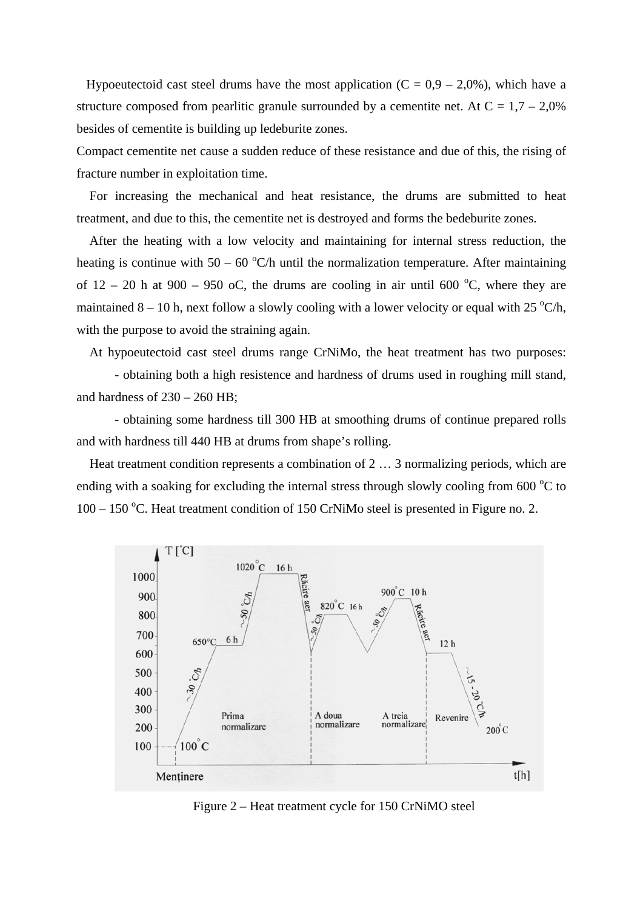Hypoeutectoid cast steel drums have the most application  $(C = 0.9 - 2.0\%)$ , which have a structure composed from pearlitic granule surrounded by a cementite net. At  $C = 1.7 - 2.0\%$ besides of cementite is building up ledeburite zones.

Compact cementite net cause a sudden reduce of these resistance and due of this, the rising of fracture number in exploitation time.

 For increasing the mechanical and heat resistance, the drums are submitted to heat treatment, and due to this, the cementite net is destroyed and forms the bedeburite zones.

 After the heating with a low velocity and maintaining for internal stress reduction, the heating is continue with  $50 - 60$  °C/h until the normalization temperature. After maintaining of  $12 - 20$  h at  $900 - 950$  oC, the drums are cooling in air until 600 °C, where they are maintained  $8 - 10$  h, next follow a slowly cooling with a lower velocity or equal with 25 °C/h, with the purpose to avoid the straining again.

At hypoeutectoid cast steel drums range CrNiMo, the heat treatment has two purposes:

 - obtaining both a high resistence and hardness of drums used in roughing mill stand, and hardness of  $230 - 260$  HB;

- obtaining some hardness till 300 HB at smoothing drums of continue prepared rolls and with hardness till 440 HB at drums from shape's rolling.

 Heat treatment condition represents a combination of 2 … 3 normalizing periods, which are ending with a soaking for excluding the internal stress through slowly cooling from  $600^{\circ}$ C to  $100 - 150$  °C. Heat treatment condition of 150 CrNiMo steel is presented in Figure no. 2.



Figure 2 – Heat treatment cycle for 150 CrNiMO steel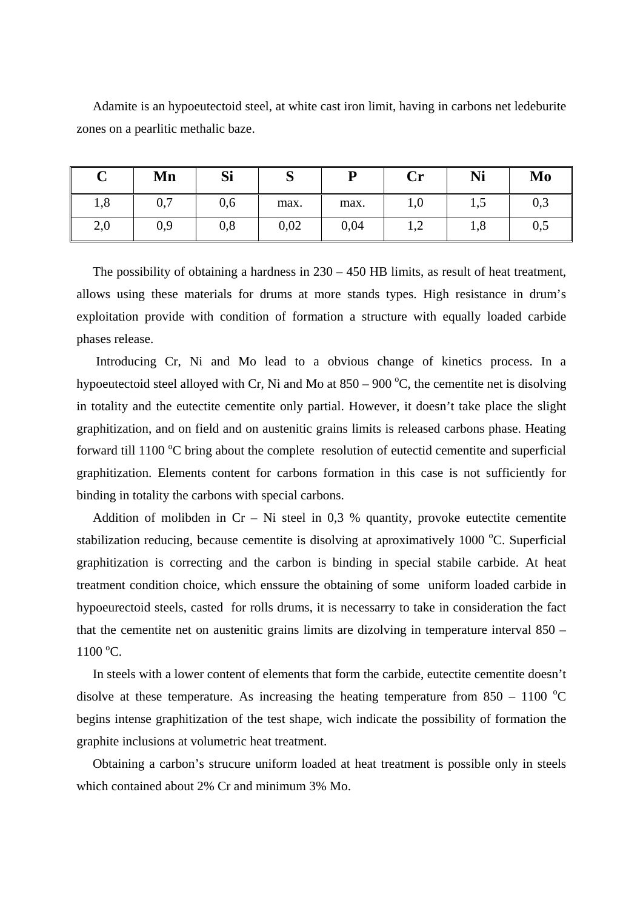Adamite is an hypoeutectoid steel, at white cast iron limit, having in carbons net ledeburite zones on a pearlitic methalic baze.

| ∼<br>ັ | Mn  | Si  | $\sim$<br>ັບ | D    | $\mathbf{Cr}$ | Ni              | Mo           |
|--------|-----|-----|--------------|------|---------------|-----------------|--------------|
| 1,8    | 0,7 | 0,6 | max.         | max. | 1,0           | 1,J             | $_{\rm 0,3}$ |
| 2,0    | 0,9 | 0,8 | 0,02         | 0,04 | ⊥,∠           | $\Omega$<br>1,0 | $_{0,5}$     |

The possibility of obtaining a hardness in  $230 - 450$  HB limits, as result of heat treatment, allows using these materials for drums at more stands types. High resistance in drum's exploitation provide with condition of formation a structure with equally loaded carbide phases release.

 Introducing Cr, Ni and Mo lead to a obvious change of kinetics process. In a hypoeutectoid steel alloyed with Cr, Ni and Mo at  $850 - 900$  °C, the cementite net is disolving in totality and the eutectite cementite only partial. However, it doesn't take place the slight graphitization, and on field and on austenitic grains limits is released carbons phase. Heating forward till 1100 °C bring about the complete resolution of eutectid cementite and superficial graphitization. Elements content for carbons formation in this case is not sufficiently for binding in totality the carbons with special carbons.

Addition of molibden in  $Cr - Ni$  steel in 0,3 % quantity, provoke eutectite cementite stabilization reducing, because cementite is disolving at aproximatively 1000 °C. Superficial graphitization is correcting and the carbon is binding in special stabile carbide. At heat treatment condition choice, which enssure the obtaining of some uniform loaded carbide in hypoeurectoid steels, casted for rolls drums, it is necessarry to take in consideration the fact that the cementite net on austenitic grains limits are dizolving in temperature interval 850 –  $1100\,^{\circ}$ C.

 In steels with a lower content of elements that form the carbide, eutectite cementite doesn't disolve at these temperature. As increasing the heating temperature from  $850 - 1100$  °C begins intense graphitization of the test shape, wich indicate the possibility of formation the graphite inclusions at volumetric heat treatment.

 Obtaining a carbon's strucure uniform loaded at heat treatment is possible only in steels which contained about 2% Cr and minimum 3% Mo.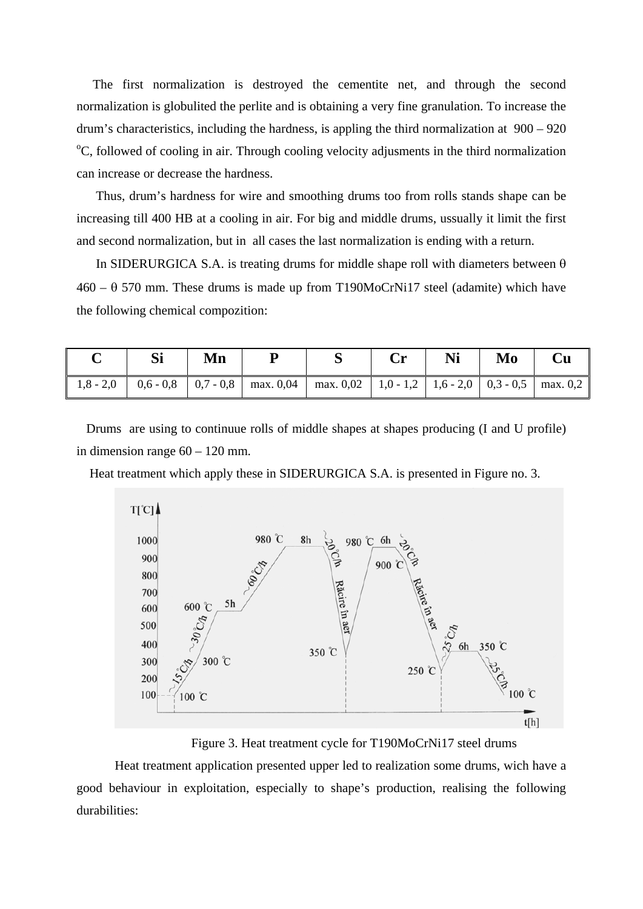The first normalization is destroyed the cementite net, and through the second normalization is globulited the perlite and is obtaining a very fine granulation. To increase the drum's characteristics, including the hardness, is appling the third normalization at 900 – 920 <sup>o</sup>C, followed of cooling in air. Through cooling velocity adjusments in the third normalization can increase or decrease the hardness.

 Thus, drum's hardness for wire and smoothing drums too from rolls stands shape can be increasing till 400 HB at a cooling in air. For big and middle drums, ussually it limit the first and second normalization, but in all cases the last normalization is ending with a return.

In SIDERURGICA S.A. is treating drums for middle shape roll with diameters between  $\theta$ 460 – θ 570 mm. These drums is made up from T190MoCrNi17 steel (adamite) which have the following chemical compozition:

|  | Mn |                                                                                                                                                                                                      | Ni | Mo |  |
|--|----|------------------------------------------------------------------------------------------------------------------------------------------------------------------------------------------------------|----|----|--|
|  |    | $\parallel$ 1,8 - 2,0 $\parallel$ 0,6 - 0,8 $\parallel$ 0,7 - 0,8 $\parallel$ max. 0,04 $\parallel$ max. 0,02 $\parallel$ 1,0 - 1,2 $\parallel$ 1,6 - 2,0 $\parallel$ 0,3 - 0,5 $\parallel$ max. 0,2 |    |    |  |

 Drums are using to continuue rolls of middle shapes at shapes producing (I and U profile) in dimension range  $60 - 120$  mm.

Heat treatment which apply these in SIDERURGICA S.A. is presented in Figure no. 3.



Figure 3. Heat treatment cycle for T190MoCrNi17 steel drums

 Heat treatment application presented upper led to realization some drums, wich have a good behaviour in exploitation, especially to shape's production, realising the following durabilities: